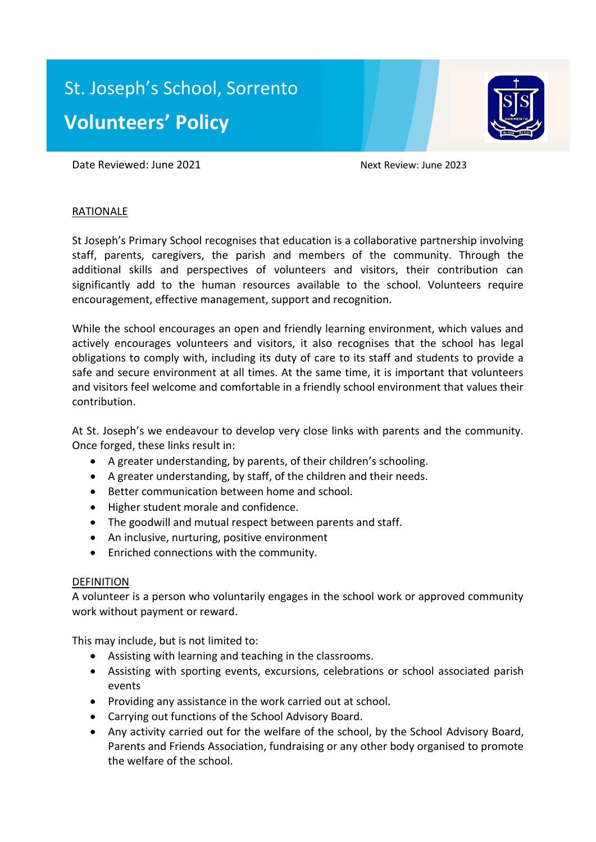# St. Joseph's School, Sorrento **Volunteers' Policy**



Date Reviewed: June 2021 Mext Review: June 2023

## **RATIONALE**

St Joseph's Primary School recognises that education is a collaborative partnership involving staff, parents, caregivers, the parish and members of the community. Through the additional skills and perspectives of volunteers and visitors, their contribution can significantly add to the human resources available to the school. Volunteers require encouragement, effective management, support and recognition.

While the school encourages an open and friendly learning environment, which values and actively encourages volunteers and visitors, it also recognises that the school has legal obligations to comply with, including its duty of care to its staff and students to provide a safe and secure environment at all times. At the same time, it is important that volunteers and visitors feel welcome and comfortable in a friendly school environment that values their contribution.

At St. Joseph's we endeavour to develop very close links with parents and the community. Once forged, these links result in:

- A greater understanding, by parents, of their children's schooling.
- A greater understanding, by staff, of the children and their needs.
- Better communication between home and school.
- Higher student morale and confidence.
- The goodwill and mutual respect between parents and staff.
- An inclusive, nurturing, positive environment
- Enriched connections with the community.

### DEFINITION

A volunteer is a person who voluntarily engages in the school work or approved community work without payment or reward.

This may include, but is not limited to:

- Assisting with learning and teaching in the classrooms.
- Assisting with sporting events, excursions, celebrations or school associated parish events
- Providing any assistance in the work carried out at school.
- Carrying out functions of the School Advisory Board.
- Any activity carried out for the welfare of the school, by the School Advisory Board, Parents and Friends Association, fundraising or any other body organised to promote the welfare of the school.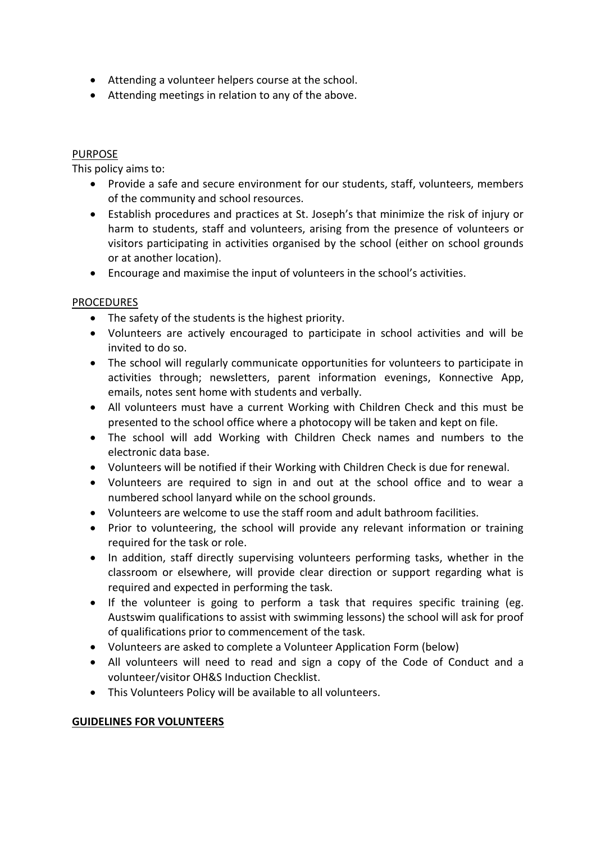- Attending a volunteer helpers course at the school.
- Attending meetings in relation to any of the above.

## PURPOSE

This policy aims to:

- Provide a safe and secure environment for our students, staff, volunteers, members of the community and school resources.
- Establish procedures and practices at St. Joseph's that minimize the risk of injury or harm to students, staff and volunteers, arising from the presence of volunteers or visitors participating in activities organised by the school (either on school grounds or at another location).
- Encourage and maximise the input of volunteers in the school's activities.

## PROCEDURES

- The safety of the students is the highest priority.
- Volunteers are actively encouraged to participate in school activities and will be invited to do so.
- The school will regularly communicate opportunities for volunteers to participate in activities through; newsletters, parent information evenings, Konnective App, emails, notes sent home with students and verbally.
- All volunteers must have a current Working with Children Check and this must be presented to the school office where a photocopy will be taken and kept on file.
- The school will add Working with Children Check names and numbers to the electronic data base.
- Volunteers will be notified if their Working with Children Check is due for renewal.
- Volunteers are required to sign in and out at the school office and to wear a numbered school lanyard while on the school grounds.
- Volunteers are welcome to use the staff room and adult bathroom facilities.
- Prior to volunteering, the school will provide any relevant information or training required for the task or role.
- In addition, staff directly supervising volunteers performing tasks, whether in the classroom or elsewhere, will provide clear direction or support regarding what is required and expected in performing the task.
- If the volunteer is going to perform a task that requires specific training (eg. Austswim qualifications to assist with swimming lessons) the school will ask for proof of qualifications prior to commencement of the task.
- Volunteers are asked to complete a Volunteer Application Form (below)
- All volunteers will need to read and sign a copy of the Code of Conduct and a volunteer/visitor OH&S Induction Checklist.
- This Volunteers Policy will be available to all volunteers.

## **GUIDELINES FOR VOLUNTEERS**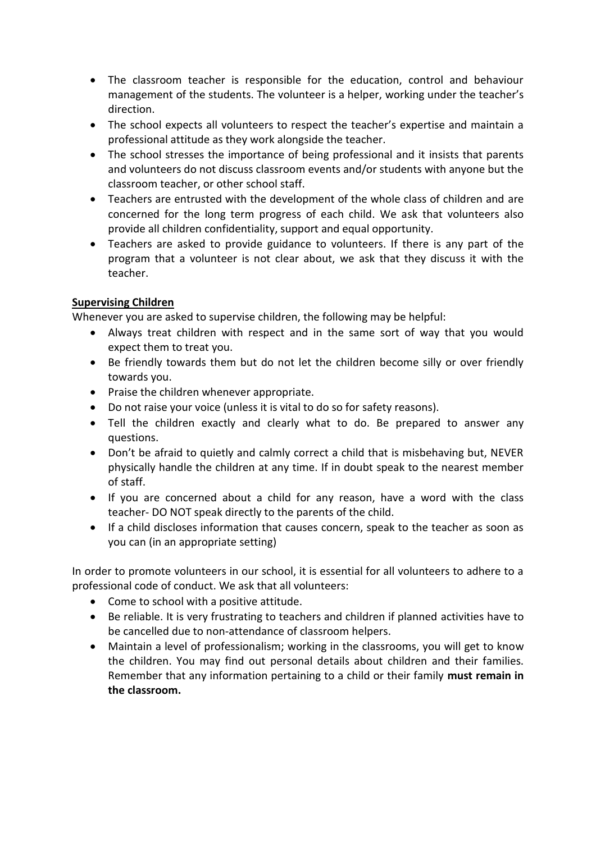- The classroom teacher is responsible for the education, control and behaviour management of the students. The volunteer is a helper, working under the teacher's direction.
- The school expects all volunteers to respect the teacher's expertise and maintain a professional attitude as they work alongside the teacher.
- The school stresses the importance of being professional and it insists that parents and volunteers do not discuss classroom events and/or students with anyone but the classroom teacher, or other school staff.
- Teachers are entrusted with the development of the whole class of children and are concerned for the long term progress of each child. We ask that volunteers also provide all children confidentiality, support and equal opportunity.
- Teachers are asked to provide guidance to volunteers. If there is any part of the program that a volunteer is not clear about, we ask that they discuss it with the teacher.

## **Supervising Children**

Whenever you are asked to supervise children, the following may be helpful:

- Always treat children with respect and in the same sort of way that you would expect them to treat you.
- Be friendly towards them but do not let the children become silly or over friendly towards you.
- Praise the children whenever appropriate.
- Do not raise your voice (unless it is vital to do so for safety reasons).
- Tell the children exactly and clearly what to do. Be prepared to answer any questions.
- Don't be afraid to quietly and calmly correct a child that is misbehaving but, NEVER physically handle the children at any time. If in doubt speak to the nearest member of staff.
- If you are concerned about a child for any reason, have a word with the class teacher- DO NOT speak directly to the parents of the child.
- If a child discloses information that causes concern, speak to the teacher as soon as you can (in an appropriate setting)

In order to promote volunteers in our school, it is essential for all volunteers to adhere to a professional code of conduct. We ask that all volunteers:

- Come to school with a positive attitude.
- Be reliable. It is very frustrating to teachers and children if planned activities have to be cancelled due to non-attendance of classroom helpers.
- Maintain a level of professionalism; working in the classrooms, you will get to know the children. You may find out personal details about children and their families. Remember that any information pertaining to a child or their family **must remain in the classroom.**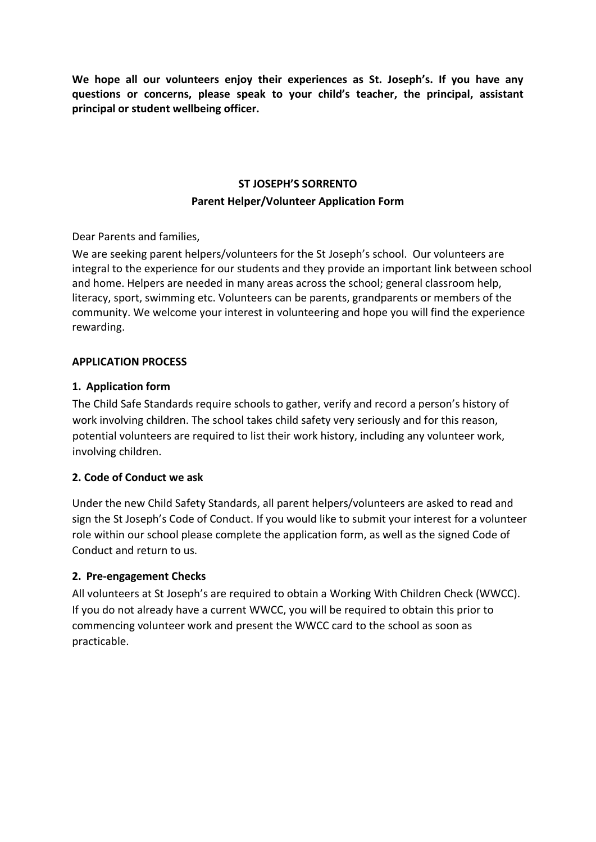**We hope all our volunteers enjoy their experiences as St. Joseph's. If you have any questions or concerns, please speak to your child's teacher, the principal, assistant principal or student wellbeing officer.**

# **ST JOSEPH'S SORRENTO Parent Helper/Volunteer Application Form**

Dear Parents and families,

We are seeking parent helpers/volunteers for the St Joseph's school. Our volunteers are integral to the experience for our students and they provide an important link between school and home. Helpers are needed in many areas across the school; general classroom help, literacy, sport, swimming etc. Volunteers can be parents, grandparents or members of the community. We welcome your interest in volunteering and hope you will find the experience rewarding.

## **APPLICATION PROCESS**

## **1. Application form**

The Child Safe Standards require schools to gather, verify and record a person's history of work involving children. The school takes child safety very seriously and for this reason, potential volunteers are required to list their work history, including any volunteer work, involving children.

## **2. Code of Conduct we ask**

Under the new Child Safety Standards, all parent helpers/volunteers are asked to read and sign the St Joseph's Code of Conduct. If you would like to submit your interest for a volunteer role within our school please complete the application form, as well as the signed Code of Conduct and return to us.

## **2. Pre-engagement Checks**

All volunteers at St Joseph's are required to obtain a Working With Children Check (WWCC). If you do not already have a current WWCC, you will be required to obtain this prior to commencing volunteer work and present the WWCC card to the school as soon as practicable.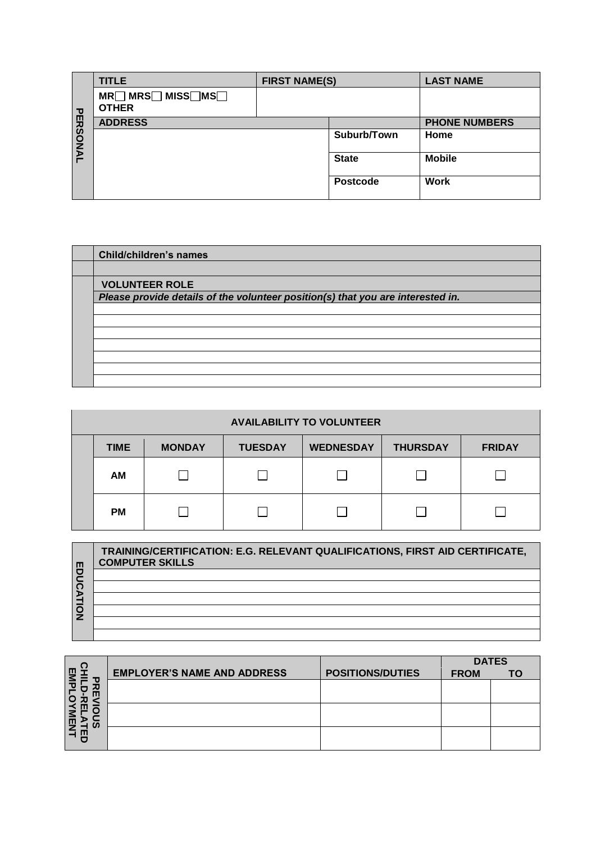|          | <b>TITLE</b>                      | <b>FIRST NAME(S)</b> |                 | <b>LAST NAME</b>     |
|----------|-----------------------------------|----------------------|-----------------|----------------------|
|          | MR□ MRS□ MISS□MS□<br><b>OTHER</b> |                      |                 |                      |
|          | <b>ADDRESS</b>                    |                      |                 | <b>PHONE NUMBERS</b> |
| PERSONAL |                                   |                      | Suburb/Town     | Home                 |
|          |                                   |                      | <b>State</b>    | <b>Mobile</b>        |
|          |                                   |                      | <b>Postcode</b> | <b>Work</b>          |

| Child/children's names                                                          |
|---------------------------------------------------------------------------------|
|                                                                                 |
| <b>VOLUNTEER ROLE</b>                                                           |
| Please provide details of the volunteer position(s) that you are interested in. |
|                                                                                 |
|                                                                                 |
|                                                                                 |
|                                                                                 |
|                                                                                 |
|                                                                                 |

| <b>AVAILABILITY TO VOLUNTEER</b> |             |               |                |                  |                 |               |
|----------------------------------|-------------|---------------|----------------|------------------|-----------------|---------------|
|                                  | <b>TIME</b> | <b>MONDAY</b> | <b>TUESDAY</b> | <b>WEDNESDAY</b> | <b>THURSDAY</b> | <b>FRIDAY</b> |
|                                  | AM          |               |                |                  |                 |               |
|                                  | <b>PM</b>   |               |                |                  |                 |               |

| ш<br>o | TRAINING/CERTIFICATION: E.G. RELEVANT QUALIFICATIONS, FIRST AID CERTIFICATE,<br><b>COMPUTER SKILLS</b> |
|--------|--------------------------------------------------------------------------------------------------------|
|        |                                                                                                        |
|        |                                                                                                        |
|        |                                                                                                        |
|        |                                                                                                        |
|        |                                                                                                        |
|        |                                                                                                        |

|           |                                    |                         |             | <b>DATES</b> |  |
|-----------|------------------------------------|-------------------------|-------------|--------------|--|
| m         | <b>EMPLOYER'S NAME AND ADDRESS</b> | <b>POSITIONS/DUTIES</b> | <b>FROM</b> | ΤО           |  |
| 观         |                                    |                         |             |              |  |
| Ш         |                                    |                         |             |              |  |
|           |                                    |                         |             |              |  |
| <b>CO</b> |                                    |                         |             |              |  |
|           |                                    |                         |             |              |  |
|           |                                    |                         |             |              |  |